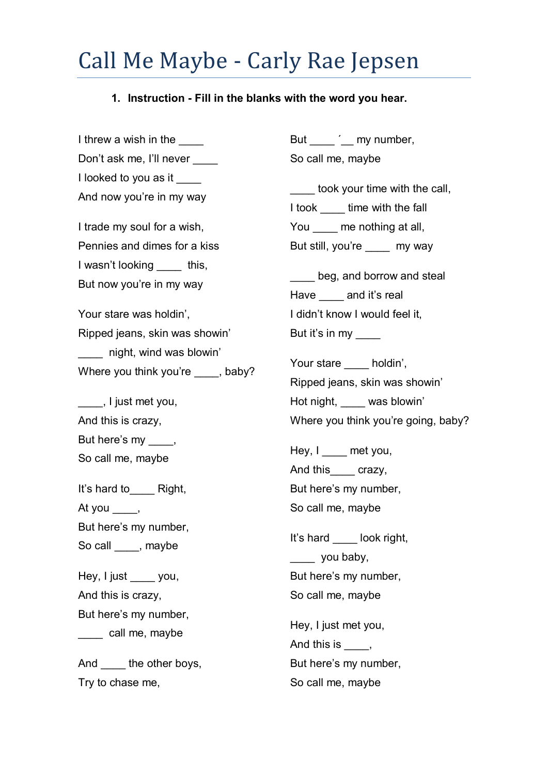## Call Me Maybe - Carly Rae Jepsen

## **1. Instruction - Fill in the blanks with the word you hear.**

I threw a wish in the Don't ask me, I'll never I looked to you as it And now you're in my way I trade my soul for a wish, Pennies and dimes for a kiss I wasn't looking this, But now you're in my way Your stare was holdin', Ripped jeans, skin was showin' \_\_\_\_ night, wind was blowin' Where you think you're , baby? \_\_\_\_, I just met you, And this is crazy, But here's my \_\_\_\_, So call me, maybe It's hard to Right, At you But here's my number, So call \_\_\_\_, maybe Hey, I just vou, And this is crazy, But here's my number, \_\_\_\_ call me, maybe And the other boys, Try to chase me,

But  $\qquad \qquad$  my number, So call me, maybe

took your time with the call, I took \_\_\_\_ time with the fall You \_\_\_\_\_ me nothing at all, But still, you're **my way** 

beg, and borrow and steal Have and it's real I didn't know I would feel it, But it's in my

Your stare holdin', Ripped jeans, skin was showin' Hot night, was blowin' Where you think you're going, baby?

Hey, I \_\_\_\_ met you, And this crazy, But here's my number, So call me, maybe

It's hard look right, \_\_\_\_ you baby, But here's my number, So call me, maybe

Hey, I just met you, And this is  $\qquad \qquad$ , But here's my number, So call me, maybe